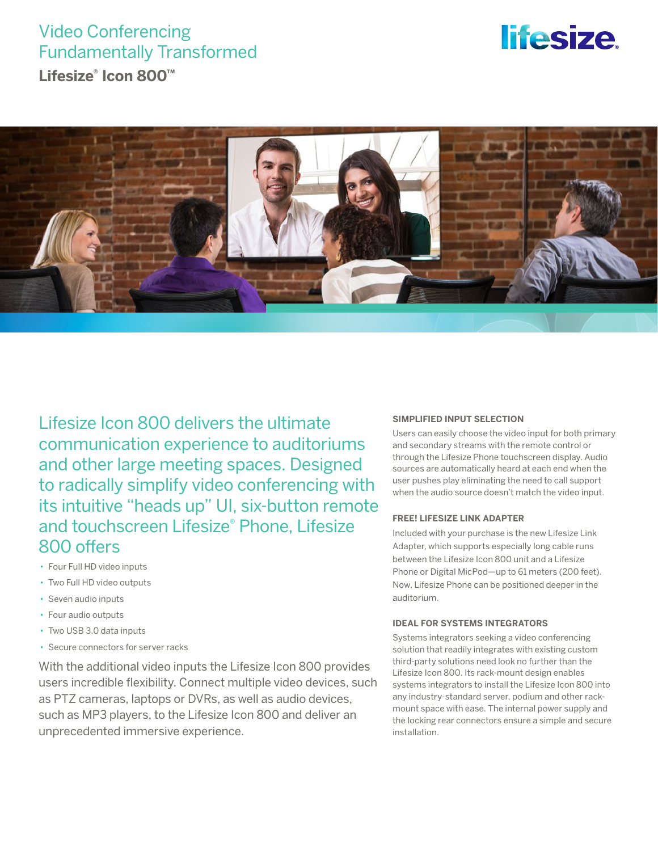## Video Conferencing Fundamentally Transformed

**Lifesize® Icon 800™**

# *lifesize*



Lifesize Icon 800 delivers the ultimate communication experience to auditoriums and other large meeting spaces. Designed to radically simplify video conferencing with its intuitive "heads up" UI, six-button remote and touchscreen Lifesize® Phone, Lifesize 800 offers

- Four Full HD video inputs
- Two Full HD video outputs
- Seven audio inputs
- Four audio outputs
- Two USB 3.0 data inputs
- Secure connectors for server racks

With the additional video inputs the Lifesize Icon 800 provides users incredible flexibility. Connect multiple video devices, such as PTZ cameras, laptops or DVRs, as well as audio devices, such as MP3 players, to the Lifesize Icon 800 and deliver an unprecedented immersive experience.

#### **SIMPLIFIED INPUT SELECTION**

Users can easily choose the video input for both primary and secondary streams with the remote control or through the Lifesize Phone touchscreen display. Audio sources are automatically heard at each end when the user pushes play eliminating the need to call support when the audio source doesn't match the video input.

#### **FREE! LIFESIZE LINK ADAPTER**

Included with your purchase is the new Lifesize Link Adapter, which supports especially long cable runs between the Lifesize Icon 800 unit and a Lifesize Phone or Digital MicPod—up to 61 meters (200 feet). Now, Lifesize Phone can be positioned deeper in the auditorium.

#### **IDEAL FOR SYSTEMS INTEGRATORS**

Systems integrators seeking a video conferencing solution that readily integrates with existing custom third-party solutions need look no further than the Lifesize Icon 800. Its rack-mount design enables systems integrators to install the Lifesize Icon 800 into any industry-standard server, podium and other rackmount space with ease. The internal power supply and the locking rear connectors ensure a simple and secure installation.